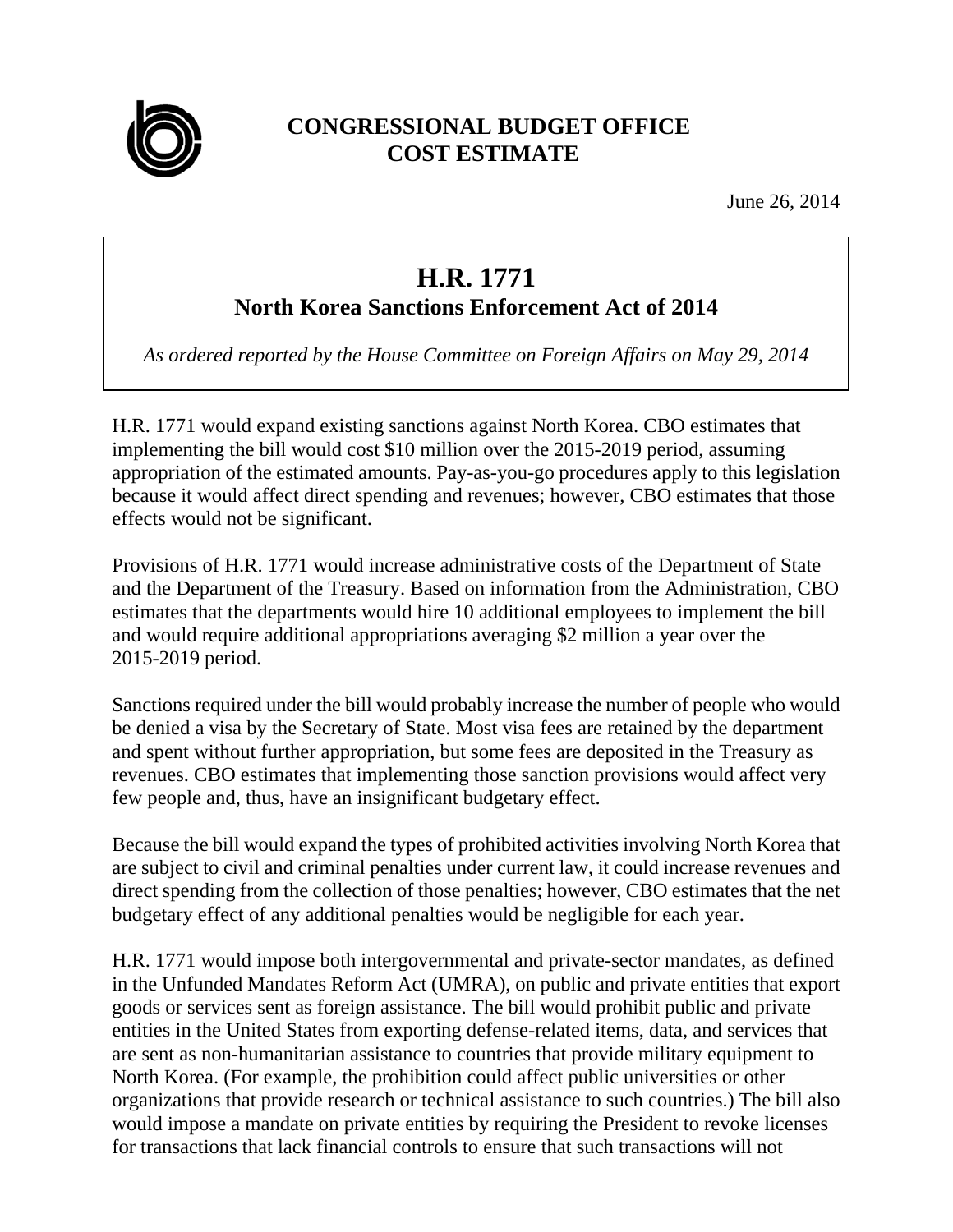

## **CONGRESSIONAL BUDGET OFFICE COST ESTIMATE**

June 26, 2014

## **H.R. 1771**

**North Korea Sanctions Enforcement Act of 2014** 

*As ordered reported by the House Committee on Foreign Affairs on May 29, 2014* 

H.R. 1771 would expand existing sanctions against North Korea. CBO estimates that implementing the bill would cost \$10 million over the 2015-2019 period, assuming appropriation of the estimated amounts. Pay-as-you-go procedures apply to this legislation because it would affect direct spending and revenues; however, CBO estimates that those effects would not be significant.

Provisions of H.R. 1771 would increase administrative costs of the Department of State and the Department of the Treasury. Based on information from the Administration, CBO estimates that the departments would hire 10 additional employees to implement the bill and would require additional appropriations averaging \$2 million a year over the 2015-2019 period.

Sanctions required under the bill would probably increase the number of people who would be denied a visa by the Secretary of State. Most visa fees are retained by the department and spent without further appropriation, but some fees are deposited in the Treasury as revenues. CBO estimates that implementing those sanction provisions would affect very few people and, thus, have an insignificant budgetary effect.

Because the bill would expand the types of prohibited activities involving North Korea that are subject to civil and criminal penalties under current law, it could increase revenues and direct spending from the collection of those penalties; however, CBO estimates that the net budgetary effect of any additional penalties would be negligible for each year.

H.R. 1771 would impose both intergovernmental and private-sector mandates, as defined in the Unfunded Mandates Reform Act (UMRA), on public and private entities that export goods or services sent as foreign assistance. The bill would prohibit public and private entities in the United States from exporting defense-related items, data, and services that are sent as non-humanitarian assistance to countries that provide military equipment to North Korea. (For example, the prohibition could affect public universities or other organizations that provide research or technical assistance to such countries.) The bill also would impose a mandate on private entities by requiring the President to revoke licenses for transactions that lack financial controls to ensure that such transactions will not